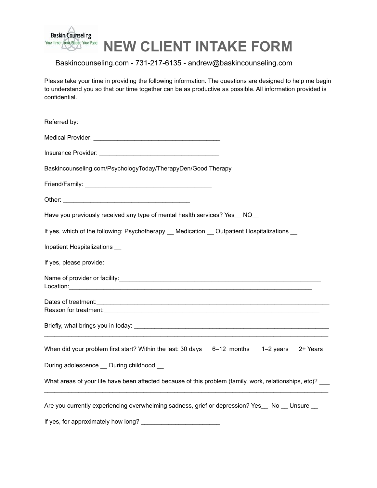

# **NEW CLIENT INTAKE FORM**

## Baskincounseling.com - 731-217-6135 - andrew@baskincounseling.com

Please take your time in providing the following information. The questions are designed to help me begin to understand you so that our time together can be as productive as possible. All information provided is confidential.

| Referred by:                                                                                                                                                                                                                   |
|--------------------------------------------------------------------------------------------------------------------------------------------------------------------------------------------------------------------------------|
|                                                                                                                                                                                                                                |
|                                                                                                                                                                                                                                |
| Baskincounseling.com/PsychologyToday/TherapyDen/Good Therapy                                                                                                                                                                   |
|                                                                                                                                                                                                                                |
|                                                                                                                                                                                                                                |
| Have you previously received any type of mental health services? Yes __ NO__                                                                                                                                                   |
| If yes, which of the following: Psychotherapy __ Medication __ Outpatient Hospitalizations __                                                                                                                                  |
| Inpatient Hospitalizations                                                                                                                                                                                                     |
| If yes, please provide:                                                                                                                                                                                                        |
| Location: experience and the contract of the contract of the contract of the contract of the contract of the contract of the contract of the contract of the contract of the contract of the contract of the contract of the c |
|                                                                                                                                                                                                                                |
|                                                                                                                                                                                                                                |
|                                                                                                                                                                                                                                |
| When did your problem first start? Within the last: 30 days _ 6-12 months _ 1-2 years _ 2+ Years _                                                                                                                             |
| During adolescence _ During childhood _                                                                                                                                                                                        |
| What areas of your life have been affected because of this problem (family, work, relationships, etc)?                                                                                                                         |
| Are you currently experiencing overwhelming sadness, grief or depression? Yes_ No _ Unsure _                                                                                                                                   |
| If yes, for approximately how long?                                                                                                                                                                                            |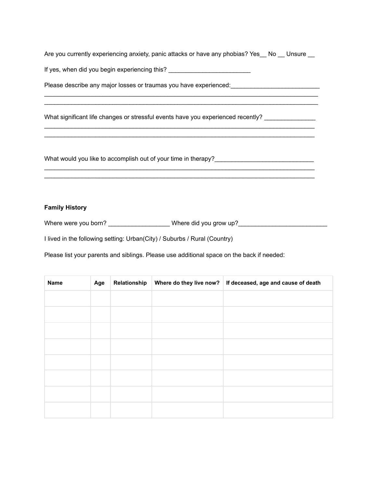Are you currently experiencing anxiety, panic attacks or have any phobias? Yes\_ No \_ Unsure \_

 $\mathcal{L}_\text{max}$  , and the set of the set of the set of the set of the set of the set of the set of the set of the set of the set of the set of the set of the set of the set of the set of the set of the set of the set of the

 $\mathcal{L}_\text{max}$  , and the set of the set of the set of the set of the set of the set of the set of the set of the set of the set of the set of the set of the set of the set of the set of the set of the set of the set of the

 $\_$  ,  $\_$  ,  $\_$  ,  $\_$  ,  $\_$  ,  $\_$  ,  $\_$  ,  $\_$  ,  $\_$  ,  $\_$  ,  $\_$  ,  $\_$  ,  $\_$  ,  $\_$  ,  $\_$  ,  $\_$  ,  $\_$  ,  $\_$  ,  $\_$  ,  $\_$  ,  $\_$  ,  $\_$  ,  $\_$  ,  $\_$  ,  $\_$  ,  $\_$  ,  $\_$  ,  $\_$  ,  $\_$  ,  $\_$  ,  $\_$  ,  $\_$  ,  $\_$  ,  $\_$  ,  $\_$  ,  $\_$  ,  $\_$  ,  $\_$  ,  $\_$  ,  $\_$  ,  $\_$  ,  $\_$  ,  $\_$  ,  $\_$  ,  $\_$  ,  $\_$  ,  $\_$  ,  $\_$  ,  $\_$  ,  $\_$  ,  $\_$  ,  $\_$  ,  $\_$  ,  $\_$  ,  $\_$  ,  $\_$  ,  $\_$  ,  $\_$  ,  $\_$  ,  $\_$  ,  $\_$  ,  $\_$  ,  $\_$  ,  $\_$  ,  $\_$  ,  $\_$  ,  $\_$  ,  $\_$  ,  $\_$  ,  $\_$  ,  $\_$  ,  $\_$  ,  $\_$  ,  $\_$  ,

\_\_\_\_\_\_\_\_\_\_\_\_\_\_\_\_\_\_\_\_\_\_\_\_\_\_\_\_\_\_\_\_\_\_\_\_\_\_\_\_\_\_\_\_\_\_\_\_\_\_\_\_\_\_\_\_\_\_\_\_\_\_\_\_\_\_\_\_\_\_\_\_\_\_\_\_\_\_\_

If yes, when did you begin experiencing this?

Please describe any major losses or traumas you have experienced:

What significant life changes or stressful events have you experienced recently? \_\_\_\_\_\_\_\_\_\_\_\_\_\_\_\_\_\_

What would you like to accomplish out of your time in therapy?\_\_\_\_\_\_\_\_\_\_\_\_\_\_\_\_\_\_\_\_\_\_\_\_\_\_\_\_\_

### **Family History**

Where were you born? \_\_\_\_\_\_\_\_\_\_\_\_\_\_\_\_\_\_\_Where did you grow up?\_\_\_\_\_\_\_\_\_\_\_\_\_\_\_\_\_\_

I lived in the following setting: Urban(City) / Suburbs / Rural (Country)

Please list your parents and siblings. Please use additional space on the back if needed:

| Name | Age | Relationship | Where do they live now?   If deceased, age and cause of death |
|------|-----|--------------|---------------------------------------------------------------|
|      |     |              |                                                               |
|      |     |              |                                                               |
|      |     |              |                                                               |
|      |     |              |                                                               |
|      |     |              |                                                               |
|      |     |              |                                                               |
|      |     |              |                                                               |
|      |     |              |                                                               |
|      |     |              |                                                               |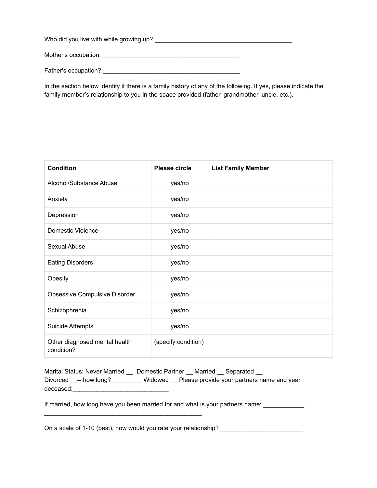Who did you live with while growing up? \_\_\_\_\_\_\_\_\_\_\_\_\_\_\_\_\_\_\_\_\_\_\_\_\_\_\_\_\_\_\_\_\_\_\_\_\_\_\_\_

Mother's occupation: \_\_\_\_\_\_\_\_\_\_\_\_\_\_\_\_\_\_\_\_\_\_\_\_\_\_\_\_\_\_\_\_\_\_\_\_\_\_\_\_

Father's occupation? \_\_\_\_\_\_\_\_\_\_\_\_\_\_\_\_\_\_\_\_\_\_\_\_\_\_\_\_\_\_\_\_\_\_\_\_\_\_\_\_

In the section below identify if there is a family history of any of the following. If yes, please indicate the family member's relationship to you in the space provided (father, grandmother, uncle, etc.).

| <b>Condition</b>                            | <b>Please circle</b> | <b>List Family Member</b> |
|---------------------------------------------|----------------------|---------------------------|
| Alcohol/Substance Abuse                     | yes/no               |                           |
| Anxiety                                     | yes/no               |                           |
| Depression                                  | yes/no               |                           |
| Domestic Violence                           | yes/no               |                           |
| Sexual Abuse                                | yes/no               |                           |
| <b>Eating Disorders</b>                     | yes/no               |                           |
| Obesity                                     | yes/no               |                           |
| <b>Obsessive Compulsive Disorder</b>        | yes/no               |                           |
| Schizophrenia                               | yes/no               |                           |
| <b>Suicide Attempts</b>                     | yes/no               |                           |
| Other diagnosed mental health<br>condition? | (specify condition)  |                           |

| Marital Status: Never Married | Domestic Partner Married Separated |  |                                                    |
|-------------------------------|------------------------------------|--|----------------------------------------------------|
| Divorced -- how long?         |                                    |  | Widowed Please provide your partners name and year |
| deceased:                     |                                    |  |                                                    |

If married, how long have you been married for and what is your partners name:

On a scale of 1-10 (best), how would you rate your relationship? \_\_\_\_\_\_\_\_\_\_\_\_\_\_\_\_\_\_\_\_\_\_\_\_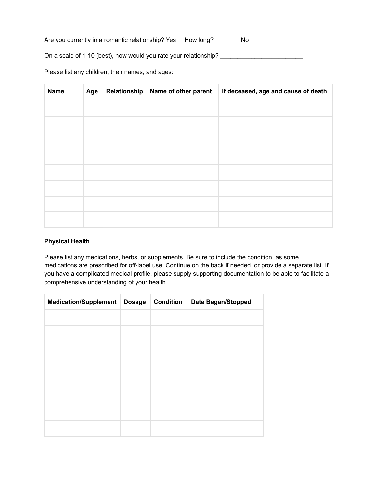Are you currently in a romantic relationship? Yes\_\_ How long? \_\_\_\_\_\_\_ No \_\_

On a scale of 1-10 (best), how would you rate your relationship?

Please list any children, their names, and ages:

| <b>Name</b> | Age | Relationship | Name of other parent | If deceased, age and cause of death |
|-------------|-----|--------------|----------------------|-------------------------------------|
|             |     |              |                      |                                     |
|             |     |              |                      |                                     |
|             |     |              |                      |                                     |
|             |     |              |                      |                                     |
|             |     |              |                      |                                     |
|             |     |              |                      |                                     |
|             |     |              |                      |                                     |
|             |     |              |                      |                                     |

### **Physical Health**

Please list any medications, herbs, or supplements. Be sure to include the condition, as some medications are prescribed for off-label use. Continue on the back if needed, or provide a separate list. If you have a complicated medical profile, please supply supporting documentation to be able to facilitate a comprehensive understanding of your health.

| Medication/Supplement | Dosage | <b>Condition</b> | <b>Date Began/Stopped</b> |
|-----------------------|--------|------------------|---------------------------|
|                       |        |                  |                           |
|                       |        |                  |                           |
|                       |        |                  |                           |
|                       |        |                  |                           |
|                       |        |                  |                           |
|                       |        |                  |                           |
|                       |        |                  |                           |
|                       |        |                  |                           |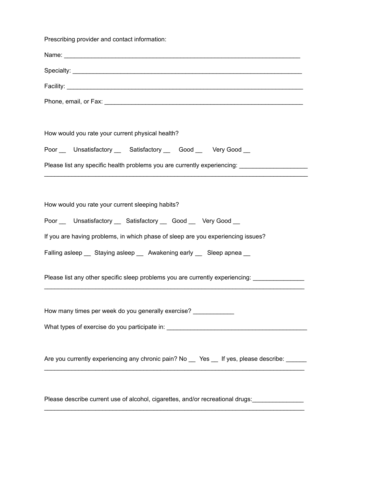Prescribing provider and contact information:

| How would you rate your current physical health?                                                    |
|-----------------------------------------------------------------------------------------------------|
| Poor __ Unsatisfactory __ Satisfactory __ Good __ Very Good __                                      |
| Please list any specific health problems you are currently experiencing: __________________________ |
|                                                                                                     |
| How would you rate your current sleeping habits?                                                    |
| Poor __ Unsatisfactory __ Satisfactory __ Good __ Very Good __                                      |
| If you are having problems, in which phase of sleep are you experiencing issues?                    |
| Falling asleep __ Staying asleep __ Awakening early __ Sleep apnea __                               |
| Please list any other specific sleep problems you are currently experiencing: _______________       |
| How many times per week do you generally exercise? ___________                                      |
| What types of exercise do you participate in:                                                       |
|                                                                                                     |
| Are you currently experiencing any chronic pain? No __ Yes __ If yes, please describe: _____        |
|                                                                                                     |
|                                                                                                     |

Please describe current use of alcohol, cigarettes, and/or recreational drugs:\_\_\_\_\_\_\_\_\_\_\_\_\_\_\_  $\mathcal{L}_\text{max}$  , and the set of the set of the set of the set of the set of the set of the set of the set of the set of the set of the set of the set of the set of the set of the set of the set of the set of the set of the